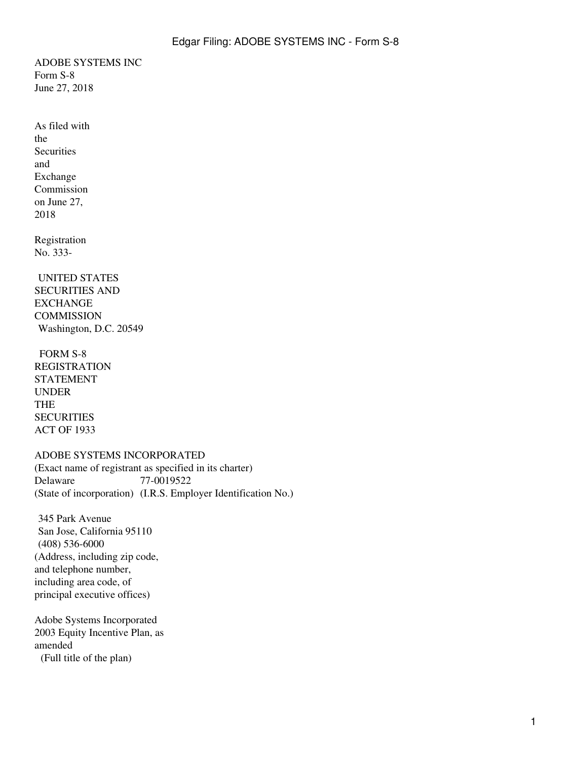ADOBE SYSTEMS INC Form S-8 June 27, 2018

<span id="page-0-0"></span>As filed with the **Securities** and Exchange Commission on June 27, 2018

Registration No. 333-

UNITED STATES SECURITIES AND **EXCHANGE COMMISSION** Washington, D.C. 20549

FORM S-8 REGISTRATION STATEMENT UNDER THE **SECURITIES** ACT OF 1933

### ADOBE SYSTEMS INCORPORATED

(Exact name of registrant as specified in its charter) Delaware 77-0019522 (State of incorporation) (I.R.S. Employer Identification No.)

345 Park Avenue San Jose, California 95110 (408) 536-6000 (Address, including zip code, and telephone number, including area code, of principal executive offices)

Adobe Systems Incorporated 2003 Equity Incentive Plan, as amended (Full title of the plan)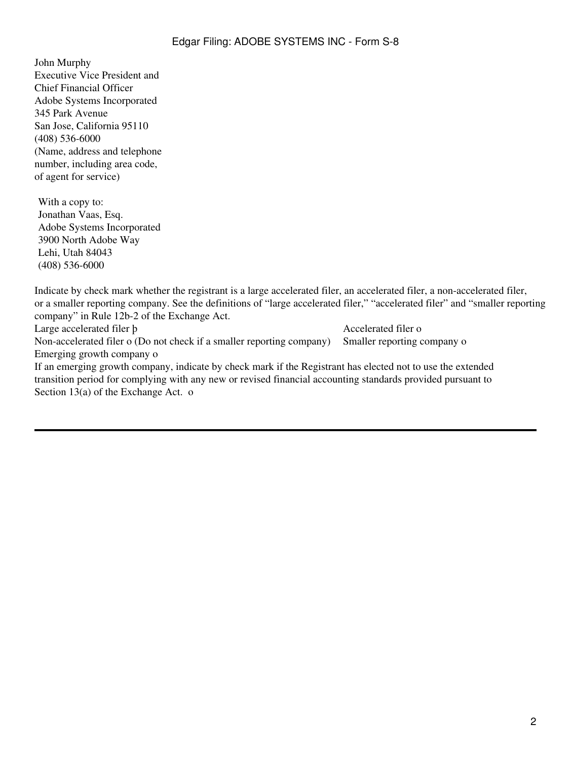## Edgar Filing: ADOBE SYSTEMS INC - Form S-8

John Murphy Executive Vice President and Chief Financial Officer Adobe Systems Incorporated 345 Park Avenue San Jose, California 95110 (408) 536-6000 (Name, address and telephone number, including area code, of agent for service)

With a copy to: Jonathan Vaas, Esq. Adobe Systems Incorporated 3900 North Adobe Way Lehi, Utah 84043 (408) 536-6000

Indicate by check mark whether the registrant is a large accelerated filer, an accelerated filer, a non-accelerated filer, or a smaller reporting company. See the definitions of "large accelerated filer," "accelerated filer" and "smaller reporting company" in Rule 12b-2 of the Exchange Act.

Large accelerated filer b Accelerated filer b Non-accelerated filer o (Do not check if a smaller reporting company) Smaller reporting company o Emerging growth company o

If an emerging growth company, indicate by check mark if the Registrant has elected not to use the extended transition period for complying with any new or revised financial accounting standards provided pursuant to Section 13(a) of the Exchange Act. o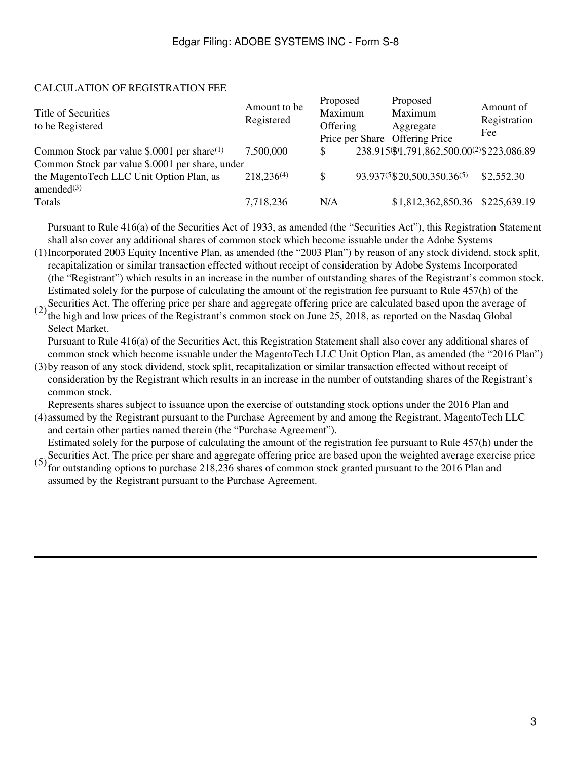## CALCULATION OF REGISTRATION FEE

| Title of Securities<br>to be Registered         | Amount to be<br>Registered | Proposed<br>Maximum<br>Offering | Proposed<br>Maximum<br>Aggregate<br>Price per Share Offering Price | Amount of<br>Registration<br>Fee |
|-------------------------------------------------|----------------------------|---------------------------------|--------------------------------------------------------------------|----------------------------------|
| Common Stock par value \$.0001 per share $(1)$  | 7,500,000                  |                                 | 238.915\\$1,791,862,500.00(2)\$223,086.89                          |                                  |
| Common Stock par value \$.0001 per share, under |                            |                                 |                                                                    |                                  |
| the MagentoTech LLC Unit Option Plan, as        | $218,236^{(4)}$            | \$                              | 93.937(5\\$20,500,350.36(5)                                        | \$2,552.30                       |
| amended $(3)$                                   |                            |                                 |                                                                    |                                  |
| Totals                                          | 7,718,236                  | N/A                             | \$1,812,362,850.36 \$225,639.19                                    |                                  |

Pursuant to Rule 416(a) of the Securities Act of 1933, as amended (the "Securities Act"), this Registration Statement shall also cover any additional shares of common stock which become issuable under the Adobe Systems

(1) Incorporated 2003 Equity Incentive Plan, as amended (the "2003 Plan") by reason of any stock dividend, stock split, recapitalization or similar transaction effected without receipt of consideration by Adobe Systems Incorporated (the "Registrant") which results in an increase in the number of outstanding shares of the Registrant's common stock. Estimated solely for the purpose of calculating the amount of the registration fee pursuant to Rule 457(h) of the

(2) Securities Act. The offering price per share and aggregate offering price are calculated based upon the average of<br>(2) the high and law misse of the Bosistrant's common steak on June 25, 2018, as reported on the Needeg the high and low prices of the Registrant's common stock on June 25, 2018, as reported on the Nasdaq Global Select Market.

Pursuant to Rule 416(a) of the Securities Act, this Registration Statement shall also cover any additional shares of common stock which become issuable under the MagentoTech LLC Unit Option Plan, as amended (the "2016 Plan")

(3) by reason of any stock dividend, stock split, recapitalization or similar transaction effected without receipt of consideration by the Registrant which results in an increase in the number of outstanding shares of the Registrant's common stock.

Represents shares subject to issuance upon the exercise of outstanding stock options under the 2016 Plan and

(4) assumed by the Registrant pursuant to the Purchase Agreement by and among the Registrant, MagentoTech LLC and certain other parties named therein (the "Purchase Agreement").

(5) Securities Act. The price per share and aggregate offering price are based upon the weighted average exercise price  $(5)$  for outstanding onting to purphese 218,226 shares of sommon stock granted puressent to the 2016 Estimated solely for the purpose of calculating the amount of the registration fee pursuant to Rule 457(h) under the

for outstanding options to purchase 218,236 shares of common stock granted pursuant to the 2016 Plan and assumed by the Registrant pursuant to the Purchase Agreement.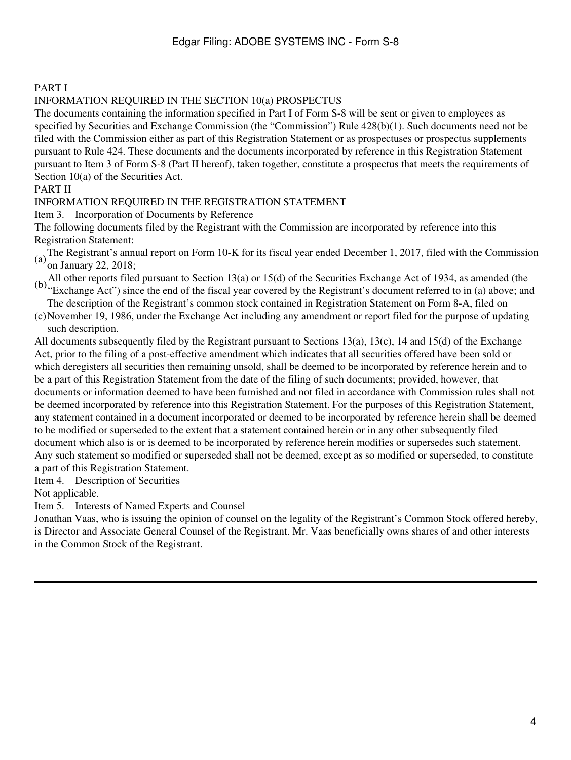## PART I

## INFORMATION REQUIRED IN THE SECTION 10(a) PROSPECTUS

The documents containing the information specified in Part I of Form S-8 will be sent or given to employees as specified by Securities and Exchange Commission (the "Commission") Rule 428(b)(1). Such documents need not be filed with the Commission either as part of this Registration Statement or as prospectuses or prospectus supplements pursuant to Rule 424. These documents and the documents incorporated by reference in this Registration Statement pursuant to Item 3 of Form S-8 (Part II hereof), taken together, constitute a prospectus that meets the requirements of Section 10(a) of the Securities Act.

## PART II

## INFORMATION REQUIRED IN THE REGISTRATION STATEMENT

Item 3. Incorporation of Documents by Reference

The following documents filed by the Registrant with the Commission are incorporated by reference into this Registration Statement:

- (a)The Registrant's annual report on Form 10-K for its fiscal year ended December 1, 2017, filed with the Commission on January 22, 2018;
- (b) All other reports filed pursuant to Section 13(a) or 15(d) of the Securities Exchange Act of 1934, as amended (the "Exchange Act") since the end of the fiscal year covered by the Registrant's document referred to in (

The description of the Registrant's common stock contained in Registration Statement on Form 8-A, filed on

(c) November 19, 1986, under the Exchange Act including any amendment or report filed for the purpose of updating such description.

All documents subsequently filed by the Registrant pursuant to Sections 13(a), 13(c), 14 and 15(d) of the Exchange Act, prior to the filing of a post-effective amendment which indicates that all securities offered have been sold or which deregisters all securities then remaining unsold, shall be deemed to be incorporated by reference herein and to be a part of this Registration Statement from the date of the filing of such documents; provided, however, that documents or information deemed to have been furnished and not filed in accordance with Commission rules shall not be deemed incorporated by reference into this Registration Statement. For the purposes of this Registration Statement, any statement contained in a document incorporated or deemed to be incorporated by reference herein shall be deemed to be modified or superseded to the extent that a statement contained herein or in any other subsequently filed document which also is or is deemed to be incorporated by reference herein modifies or supersedes such statement. Any such statement so modified or superseded shall not be deemed, except as so modified or superseded, to constitute a part of this Registration Statement.

Item 4. Description of Securities

Not applicable.

Item 5. Interests of Named Experts and Counsel

Jonathan Vaas, who is issuing the opinion of counsel on the legality of the Registrant's Common Stock offered hereby, is Director and Associate General Counsel of the Registrant. Mr. Vaas beneficially owns shares of and other interests in the Common Stock of the Registrant.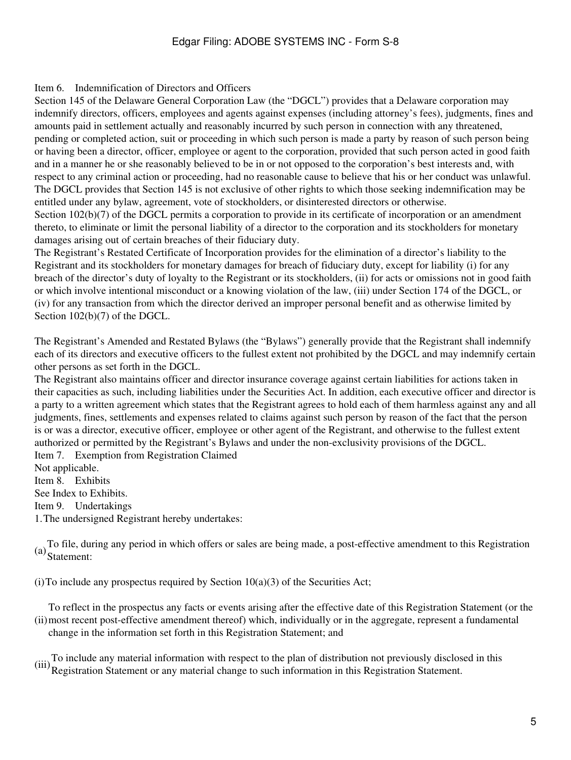## Edgar Filing: ADOBE SYSTEMS INC - Form S-8

#### Item 6. Indemnification of Directors and Officers

Section 145 of the Delaware General Corporation Law (the "DGCL") provides that a Delaware corporation may indemnify directors, officers, employees and agents against expenses (including attorney's fees), judgments, fines and amounts paid in settlement actually and reasonably incurred by such person in connection with any threatened, pending or completed action, suit or proceeding in which such person is made a party by reason of such person being or having been a director, officer, employee or agent to the corporation, provided that such person acted in good faith and in a manner he or she reasonably believed to be in or not opposed to the corporation's best interests and, with respect to any criminal action or proceeding, had no reasonable cause to believe that his or her conduct was unlawful. The DGCL provides that Section 145 is not exclusive of other rights to which those seeking indemnification may be entitled under any bylaw, agreement, vote of stockholders, or disinterested directors or otherwise.

Section 102(b)(7) of the DGCL permits a corporation to provide in its certificate of incorporation or an amendment thereto, to eliminate or limit the personal liability of a director to the corporation and its stockholders for monetary damages arising out of certain breaches of their fiduciary duty.

The Registrant's Restated Certificate of Incorporation provides for the elimination of a director's liability to the Registrant and its stockholders for monetary damages for breach of fiduciary duty, except for liability (i) for any breach of the director's duty of loyalty to the Registrant or its stockholders, (ii) for acts or omissions not in good faith or which involve intentional misconduct or a knowing violation of the law, (iii) under Section 174 of the DGCL, or (iv) for any transaction from which the director derived an improper personal benefit and as otherwise limited by Section  $102(b)(7)$  of the DGCL.

The Registrant's Amended and Restated Bylaws (the "Bylaws") generally provide that the Registrant shall indemnify each of its directors and executive officers to the fullest extent not prohibited by the DGCL and may indemnify certain other persons as set forth in the DGCL.

The Registrant also maintains officer and director insurance coverage against certain liabilities for actions taken in their capacities as such, including liabilities under the Securities Act. In addition, each executive officer and director is a party to a written agreement which states that the Registrant agrees to hold each of them harmless against any and all judgments, fines, settlements and expenses related to claims against such person by reason of the fact that the person is or was a director, executive officer, employee or other agent of the Registrant, and otherwise to the fullest extent authorized or permitted by the Registrant's Bylaws and under the non-exclusivity provisions of the DGCL. Item 7. Exemption from Registration Claimed

Not applicable. Item 8. Exhibits See Index to Exhibits. Item 9. Undertakings 1.The undersigned Registrant hereby undertakes:

(a)To file, during any period in which offers or sales are being made, a post-effective amendment to this Registration Statement:

(i) To include any prospectus required by Section  $10(a)(3)$  of the Securities Act;

(ii) most recent post-effective amendment thereof) which, individually or in the aggregate, represent a fundamental To reflect in the prospectus any facts or events arising after the effective date of this Registration Statement (or the change in the information set forth in this Registration Statement; and

(iii)To include any material information with respect to the plan of distribution not previously disclosed in this Registration Statement or any material change to such information in this Registration Statement.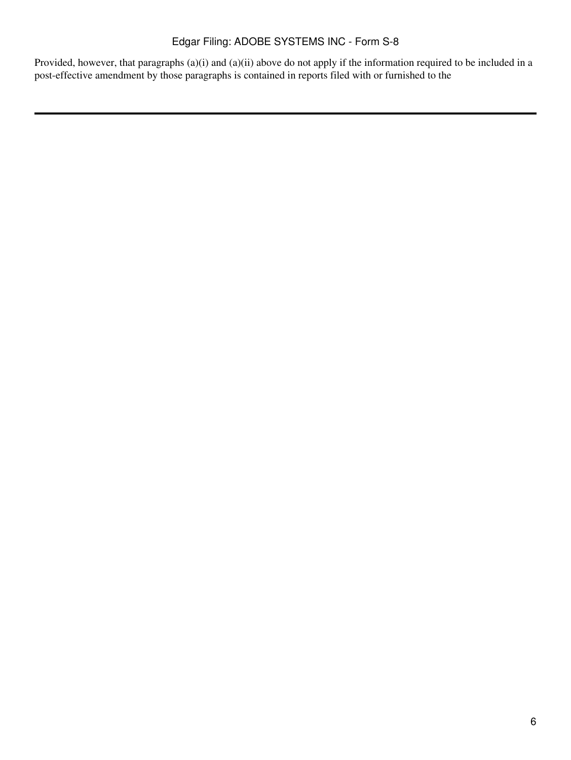Provided, however, that paragraphs (a)(i) and (a)(ii) above do not apply if the information required to be included in a post-effective amendment by those paragraphs is contained in reports filed with or furnished to the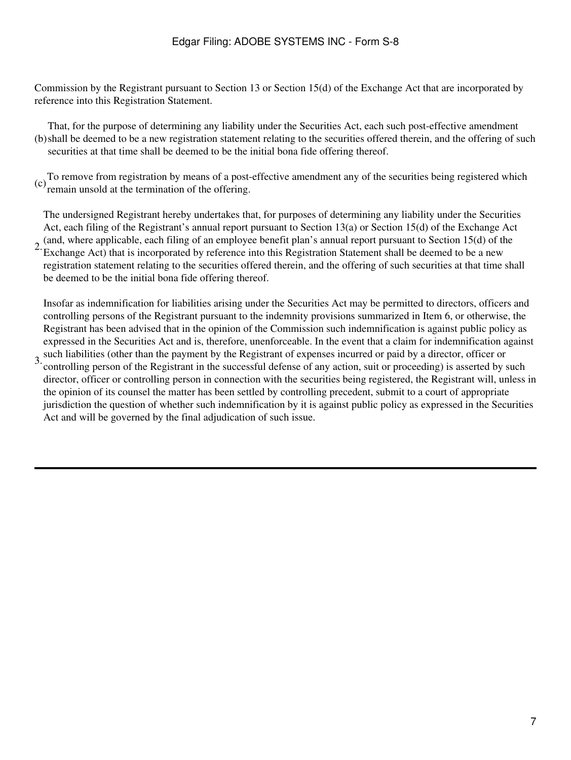Commission by the Registrant pursuant to Section 13 or Section 15(d) of the Exchange Act that are incorporated by reference into this Registration Statement.

(b) shall be deemed to be a new registration statement relating to the securities offered therein, and the offering of such That, for the purpose of determining any liability under the Securities Act, each such post-effective amendment securities at that time shall be deemed to be the initial bona fide offering thereof.

(c) To remove from registration by means of a post-effective amendment any of the securities being registered which remain unsold at the termination of the offering.

The undersigned Registrant hereby undertakes that, for purposes of determining any liability under the Securities Act, each filing of the Registrant's annual report pursuant to Section 13(a) or Section 15(d) of the Exchange Act (and, where applicable, each filing of an employee benefit plan's annual report pursuant to Section 15(d) of the

2. Exchange Act) that is incorporated by reference into this Registration Statement shall be deemed to be a new registration statement relating to the securities offered therein, and the offering of such securities at that time shall be deemed to be the initial bona fide offering thereof.

Insofar as indemnification for liabilities arising under the Securities Act may be permitted to directors, officers and controlling persons of the Registrant pursuant to the indemnity provisions summarized in Item 6, or otherwise, the Registrant has been advised that in the opinion of the Commission such indemnification is against public policy as expressed in the Securities Act and is, therefore, unenforceable. In the event that a claim for indemnification against such liabilities (other than the payment by the Registrant of expenses incurred or paid by a director, officer or

3. controlling person of the Registrant in the successful defense of any action, suit or proceeding) is asserted by such director, officer or controlling person in connection with the securities being registered, the Registrant will, unless in the opinion of its counsel the matter has been settled by controlling precedent, submit to a court of appropriate jurisdiction the question of whether such indemnification by it is against public policy as expressed in the Securities Act and will be governed by the final adjudication of such issue.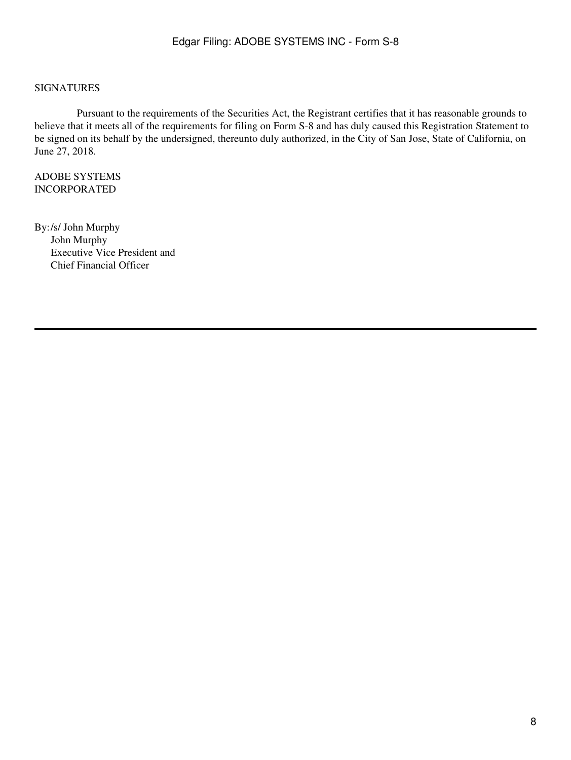#### SIGNATURES

 Pursuant to the requirements of the Securities Act, the Registrant certifies that it has reasonable grounds to believe that it meets all of the requirements for filing on Form S-8 and has duly caused this Registration Statement to be signed on its behalf by the undersigned, thereunto duly authorized, in the City of San Jose, State of California, on June 27, 2018.

ADOBE SYSTEMS INCORPORATED

By:/s/ John Murphy John Murphy Executive Vice President and Chief Financial Officer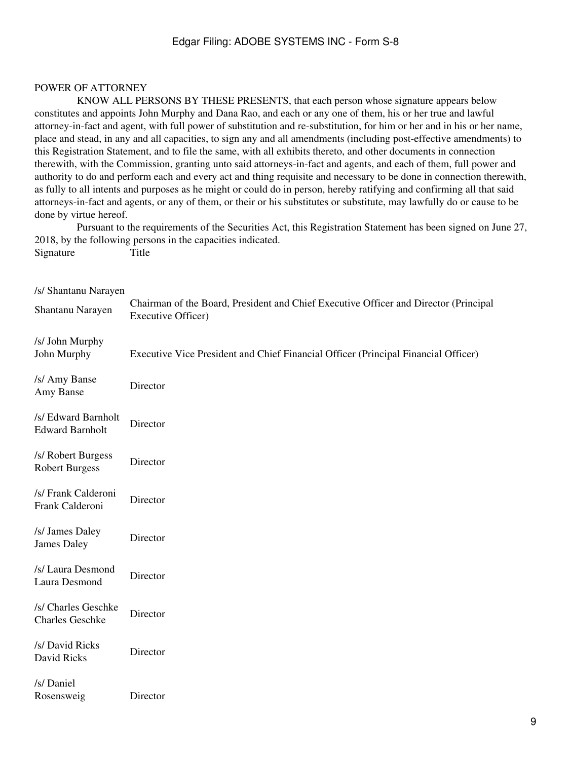### POWER OF ATTORNEY

 KNOW ALL PERSONS BY THESE PRESENTS, that each person whose signature appears below constitutes and appoints John Murphy and Dana Rao, and each or any one of them, his or her true and lawful attorney-in-fact and agent, with full power of substitution and re-substitution, for him or her and in his or her name, place and stead, in any and all capacities, to sign any and all amendments (including post-effective amendments) to this Registration Statement, and to file the same, with all exhibits thereto, and other documents in connection therewith, with the Commission, granting unto said attorneys-in-fact and agents, and each of them, full power and authority to do and perform each and every act and thing requisite and necessary to be done in connection therewith, as fully to all intents and purposes as he might or could do in person, hereby ratifying and confirming all that said attorneys-in-fact and agents, or any of them, or their or his substitutes or substitute, may lawfully do or cause to be done by virtue hereof.

 Pursuant to the requirements of the Securities Act, this Registration Statement has been signed on June 27, 2018, by the following persons in the capacities indicated. Signature Title

## /s/ Shantanu Narayen

| Shantanu Narayen                              | Chairman of the Board, President and Chief Executive Officer and Director (Principal<br><b>Executive Officer)</b> |
|-----------------------------------------------|-------------------------------------------------------------------------------------------------------------------|
| /s/ John Murphy<br>John Murphy                | Executive Vice President and Chief Financial Officer (Principal Financial Officer)                                |
| /s/ Amy Banse<br>Amy Banse                    | Director                                                                                                          |
| /s/ Edward Barnholt<br><b>Edward Barnholt</b> | Director                                                                                                          |
| /s/ Robert Burgess<br><b>Robert Burgess</b>   | Director                                                                                                          |
| /s/ Frank Calderoni<br>Frank Calderoni        | Director                                                                                                          |
| /s/ James Daley<br><b>James Daley</b>         | Director                                                                                                          |
| /s/ Laura Desmond<br>Laura Desmond            | Director                                                                                                          |
| /s/ Charles Geschke<br><b>Charles Geschke</b> | Director                                                                                                          |
| /s/ David Ricks<br>David Ricks                | Director                                                                                                          |
| /s/ Daniel<br>Rosensweig                      | Director                                                                                                          |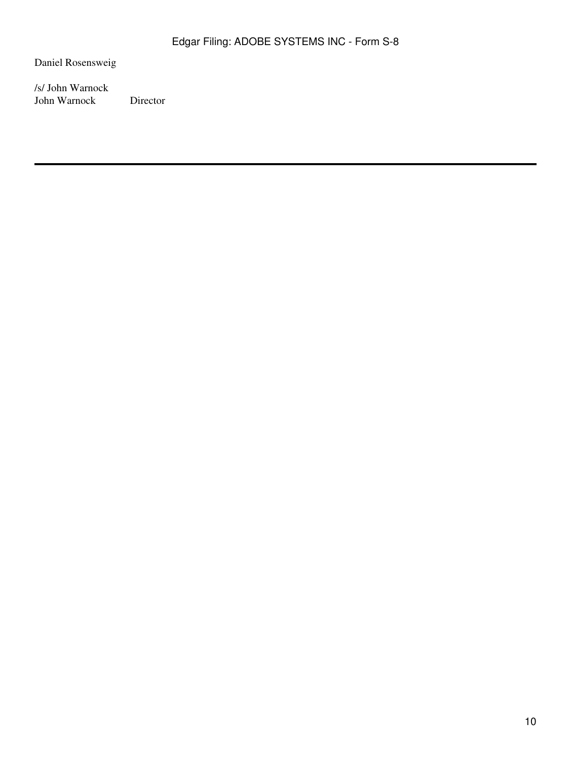Daniel Rosensweig

/s/ John Warnock John Warnock Director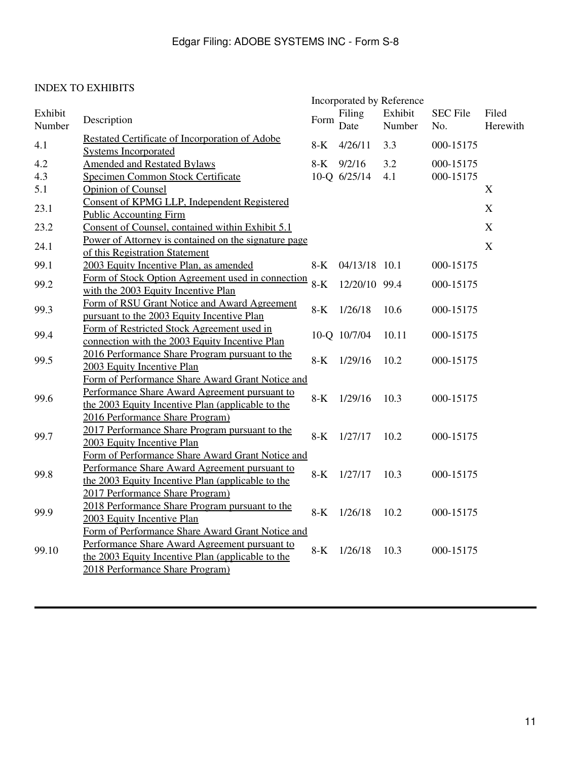# INDEX TO EXHIBITS

|                   |                                                                                                                                                                                           | Incorporated by Reference |                        |                   |                        |                   |  |
|-------------------|-------------------------------------------------------------------------------------------------------------------------------------------------------------------------------------------|---------------------------|------------------------|-------------------|------------------------|-------------------|--|
| Exhibit<br>Number | Description                                                                                                                                                                               | Form                      | Filing<br>Date         | Exhibit<br>Number | <b>SEC File</b><br>No. | Filed<br>Herewith |  |
| 4.1               | Restated Certificate of Incorporation of Adobe<br><b>Systems Incorporated</b>                                                                                                             | $8-K$                     | 4/26/11                | 3.3               | 000-15175              |                   |  |
| 4.2<br>4.3        | <b>Amended and Restated Bylaws</b><br>Specimen Common Stock Certificate                                                                                                                   | $8-K$                     | 9/2/16<br>10-Q 6/25/14 | 3.2<br>4.1        | 000-15175<br>000-15175 |                   |  |
| 5.1               | <b>Opinion of Counsel</b>                                                                                                                                                                 |                           |                        |                   |                        | X                 |  |
| 23.1              | Consent of KPMG LLP, Independent Registered<br><b>Public Accounting Firm</b>                                                                                                              |                           |                        |                   |                        | X                 |  |
| 23.2              | Consent of Counsel, contained within Exhibit 5.1                                                                                                                                          |                           |                        |                   |                        | X                 |  |
| 24.1              | Power of Attorney is contained on the signature page<br>of this Registration Statement                                                                                                    |                           |                        |                   |                        | $\mathbf X$       |  |
| 99.1              | 2003 Equity Incentive Plan, as amended                                                                                                                                                    | $8-K$                     | 04/13/18 10.1          |                   | 000-15175              |                   |  |
| 99.2              | Form of Stock Option Agreement used in connection<br>with the 2003 Equity Incentive Plan                                                                                                  | $8-K$                     | 12/20/10 99.4          |                   | 000-15175              |                   |  |
| 99.3              | Form of RSU Grant Notice and Award Agreement<br>pursuant to the 2003 Equity Incentive Plan                                                                                                | $8-K$                     | 1/26/18                | 10.6              | 000-15175              |                   |  |
| 99.4              | Form of Restricted Stock Agreement used in<br>connection with the 2003 Equity Incentive Plan                                                                                              |                           | 10-Q 10/7/04           | 10.11             | 000-15175              |                   |  |
| 99.5              | 2016 Performance Share Program pursuant to the<br>2003 Equity Incentive Plan                                                                                                              | $8-K$                     | 1/29/16                | 10.2              | 000-15175              |                   |  |
| 99.6              | Form of Performance Share Award Grant Notice and<br>Performance Share Award Agreement pursuant to<br>the 2003 Equity Incentive Plan (applicable to the<br>2016 Performance Share Program) | $8-K$                     | 1/29/16                | 10.3              | 000-15175              |                   |  |
| 99.7              | 2017 Performance Share Program pursuant to the<br>2003 Equity Incentive Plan                                                                                                              | $8-K$                     | 1/27/17                | 10.2              | 000-15175              |                   |  |
| 99.8              | Form of Performance Share Award Grant Notice and<br>Performance Share Award Agreement pursuant to<br>the 2003 Equity Incentive Plan (applicable to the<br>2017 Performance Share Program) | $8-K$                     | 1/27/17                | 10.3              | 000-15175              |                   |  |
| 99.9              | 2018 Performance Share Program pursuant to the<br>2003 Equity Incentive Plan                                                                                                              | $8-K$                     | 1/26/18                | 10.2              | 000-15175              |                   |  |
| 99.10             | Form of Performance Share Award Grant Notice and<br>Performance Share Award Agreement pursuant to<br>the 2003 Equity Incentive Plan (applicable to the<br>2018 Performance Share Program) | $8-K$                     | 1/26/18                | 10.3              | 000-15175              |                   |  |